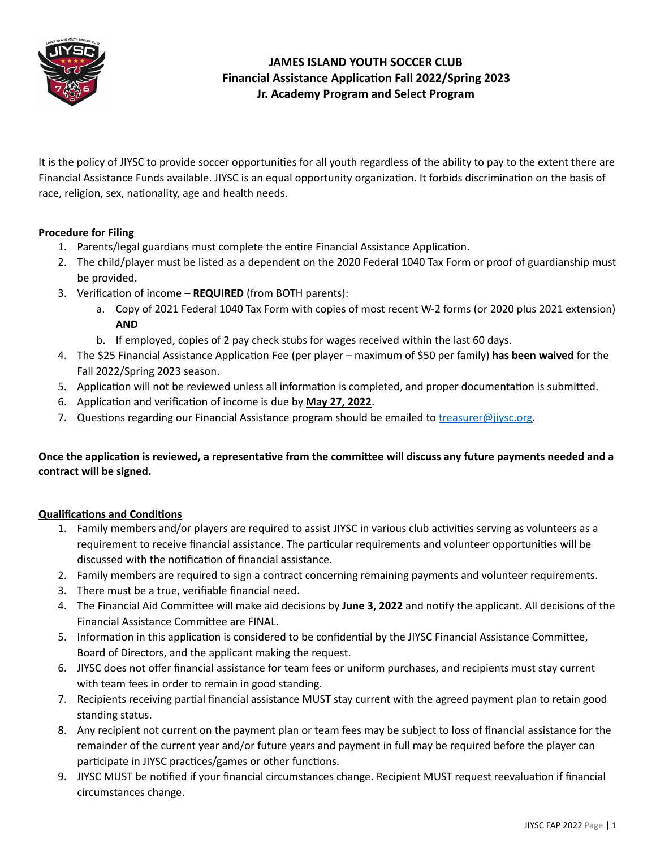

It is the policy of JIYSC to provide soccer opportunities for all youth regardless of the ability to pay to the extent there are Financial Assistance Funds available. JIYSC is an equal opportunity organization. It forbids discrimination on the basis of race, religion, sex, nationality, age and health needs.

### **Procedure for Filing**

- 1. Parents/legal guardians must complete the entire Financial Assistance Application.
- 2. The child/player must be listed as a dependent on the 2020 Federal 1040 Tax Form or proof of guardianship must be provided.
- 3. Verification of income **REQUIRED** (from BOTH parents):
	- a. Copy of 2021 Federal 1040 Tax Form with copies of most recent W-2 forms (or 2020 plus 2021 extension) **AND**
	- b. If employed, copies of 2 pay check stubs for wages received within the last 60 days.
- 4. The \$25 Financial Assistance Application Fee (per player maximum of \$50 per family) has been waived for the Fall 2022/Spring 2023 season.
- 5. Application will not be reviewed unless all information is completed, and proper documentation is submitted.
- 6. Application and verification of income is due by May 27, 2022.
- 7. Questions regarding our Financial Assistance program should be emailed to *treasurer@jiysc.org*.

### Once the application is reviewed, a representative from the committee will discuss any future payments needed and a **contract will be signed.**

#### **Qualifications and Conditions**

- 1. Family members and/or players are required to assist JIYSC in various club activities serving as volunteers as a requirement to receive financial assistance. The particular requirements and volunteer opportunities will be discussed with the notification of financial assistance.
- 2. Family members are required to sign a contract concerning remaining payments and volunteer requirements.
- 3. There must be a true, verifiable financial need.
- 4. The Financial Aid Committee will make aid decisions by June 3, 2022 and notify the applicant. All decisions of the Financial Assistance Committee are FINAL.
- 5. Information in this application is considered to be confidential by the JIYSC Financial Assistance Committee, Board of Directors, and the applicant making the request.
- 6. JIYSC does not offer financial assistance for team fees or uniform purchases, and recipients must stay current with team fees in order to remain in good standing.
- 7. Recipients receiving partial financial assistance MUST stay current with the agreed payment plan to retain good standing status.
- 8. Any recipient not current on the payment plan or team fees may be subject to loss of financial assistance for the remainder of the current year and/or future years and payment in full may be required before the player can participate in JIYSC practices/games or other functions.
- 9. JIYSC MUST be notified if your financial circumstances change. Recipient MUST request reevaluation if financial circumstances change.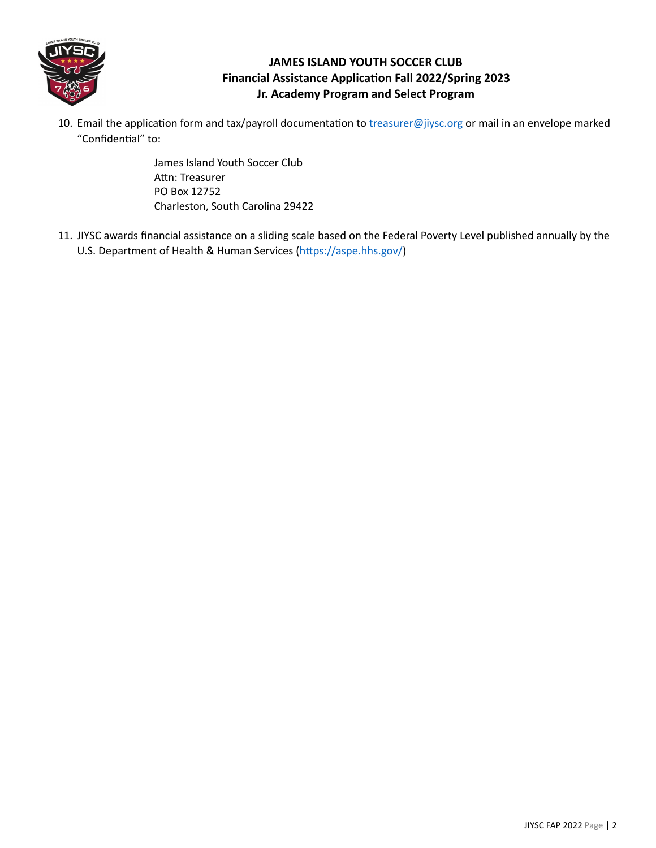

10. Email the application form and tax/payroll documentation to *[treasurer@jiysc.org](mailto:treasurer@jiysc.org)* or mail in an envelope marked "Confidential" to:

> James Island Youth Soccer Club Attn: Treasurer PO Box 12752 Charleston, South Carolina 29422

11. JIYSC awards financial assistance on a sliding scale based on the Federal Poverty Level published annually by the U.S. Department of Health & Human Services (https://aspe.hhs.gov/)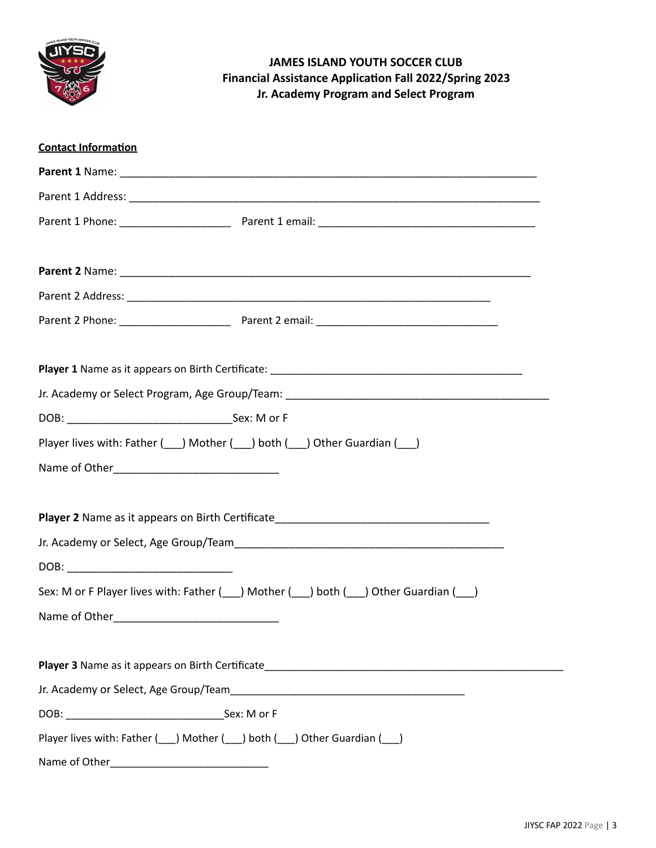

| <b>Contact Information</b>                                                                       |
|--------------------------------------------------------------------------------------------------|
|                                                                                                  |
|                                                                                                  |
|                                                                                                  |
|                                                                                                  |
|                                                                                                  |
|                                                                                                  |
|                                                                                                  |
|                                                                                                  |
|                                                                                                  |
|                                                                                                  |
|                                                                                                  |
|                                                                                                  |
|                                                                                                  |
|                                                                                                  |
| Player 2 Name as it appears on Birth Certificate_________________________________                |
|                                                                                                  |
|                                                                                                  |
| Sex: M or F Player lives with: Father (\int_) Mother (\int_) both (\int_) Other Guardian (\int_) |
| Name of Other_                                                                                   |
|                                                                                                  |
|                                                                                                  |
|                                                                                                  |
|                                                                                                  |
| Player lives with: Father ( ) Mother ( ) both ( ) Other Guardian ( )                             |
| Name of Other                                                                                    |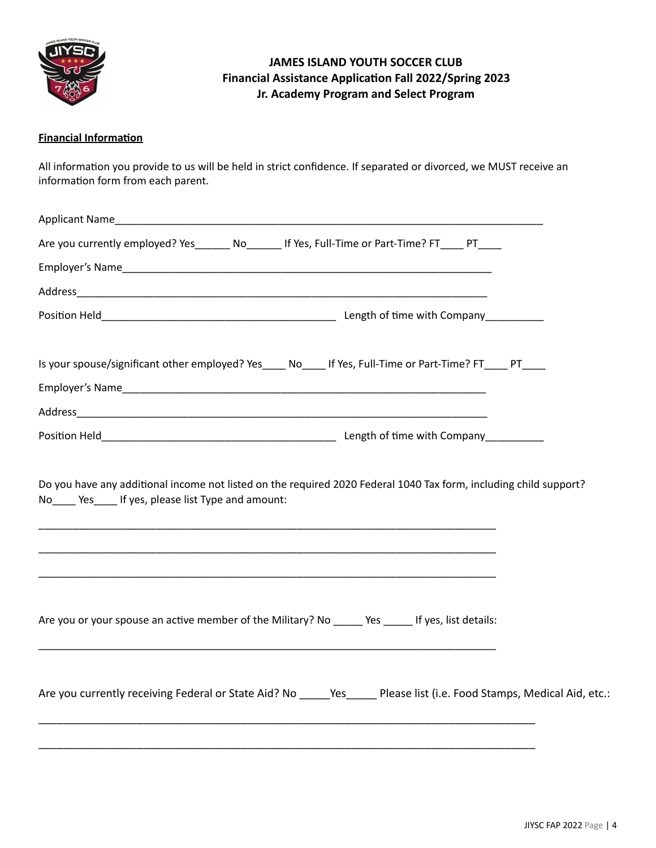

### **Financial Information**

All information you provide to us will be held in strict confidence. If separated or divorced, we MUST receive an information form from each parent.

| Are you currently employed? Yes_______ No_______ If Yes, Full-Time or Part-Time? FT____ PT____                                                                                                                                                                                            |  |
|-------------------------------------------------------------------------------------------------------------------------------------------------------------------------------------------------------------------------------------------------------------------------------------------|--|
|                                                                                                                                                                                                                                                                                           |  |
|                                                                                                                                                                                                                                                                                           |  |
|                                                                                                                                                                                                                                                                                           |  |
| Is your spouse/significant other employed? Yes No Hove, Full-Time or Part-Time? FT PT                                                                                                                                                                                                     |  |
|                                                                                                                                                                                                                                                                                           |  |
|                                                                                                                                                                                                                                                                                           |  |
| Do you have any additional income not listed on the required 2020 Federal 1040 Tax form, including child support?<br>No Yes If yes, please list Type and amount:<br><u> 1989 - Johann Harry Harry Harry Harry Harry Harry Harry Harry Harry Harry Harry Harry Harry Harry Harry Harry</u> |  |
| Are you or your spouse an active member of the Military? No ______ Yes ______ If yes, list details:                                                                                                                                                                                       |  |
| Are you currently receiving Federal or State Aid? No _____Yes_____ Please list (i.e. Food Stamps, Medical Aid, etc.:                                                                                                                                                                      |  |
|                                                                                                                                                                                                                                                                                           |  |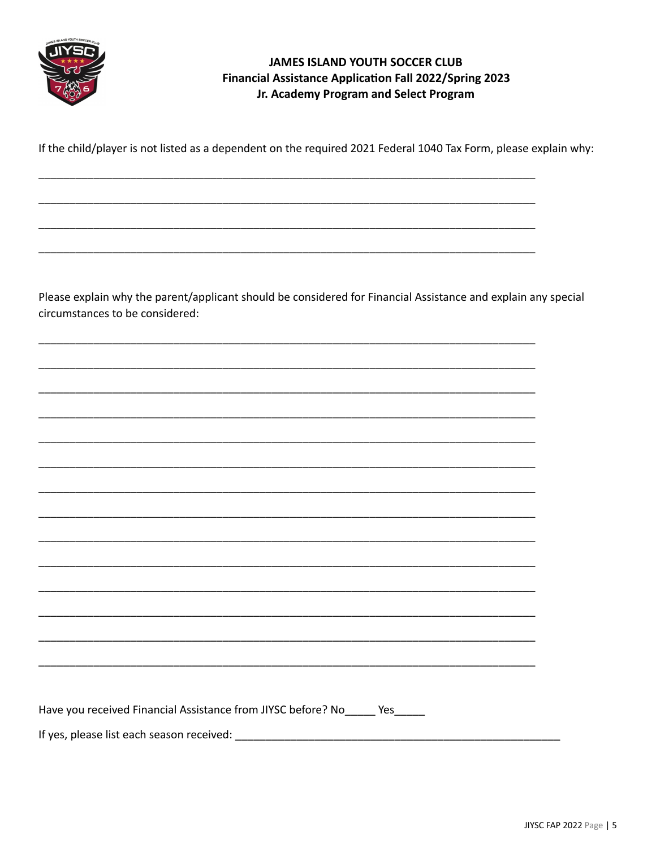

If the child/player is not listed as a dependent on the required 2021 Federal 1040 Tax Form, please explain why:

Please explain why the parent/applicant should be considered for Financial Assistance and explain any special circumstances to be considered:

| Have you received Financial Assistance from JIYSC before? No_____ Yes____ |
|---------------------------------------------------------------------------|
| If yes, please list each season received:                                 |